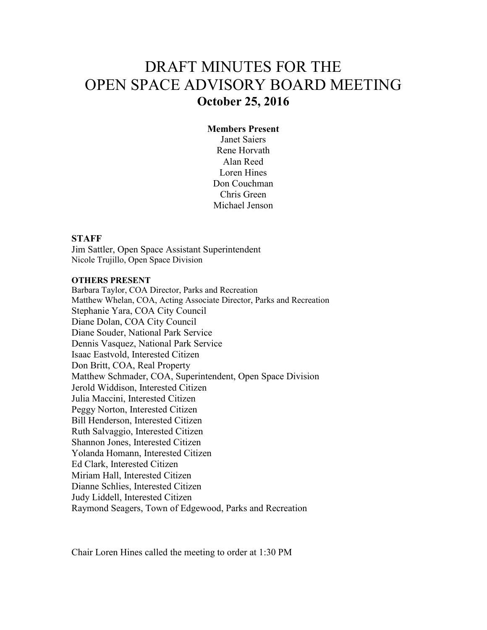# DRAFT MINUTES FOR THE OPEN SPACE ADVISORY BOARD MEETING **October 25, 2016**

#### **Members Present**

Janet Saiers Rene Horvath Alan Reed Loren Hines Don Couchman Chris Green Michael Jenson

#### **STAFF**

Jim Sattler, Open Space Assistant Superintendent Nicole Trujillo, Open Space Division

#### **OTHERS PRESENT**

Barbara Taylor, COA Director, Parks and Recreation Matthew Whelan, COA, Acting Associate Director, Parks and Recreation Stephanie Yara, COA City Council Diane Dolan, COA City Council Diane Souder, National Park Service Dennis Vasquez, National Park Service Isaac Eastvold, Interested Citizen Don Britt, COA, Real Property Matthew Schmader, COA, Superintendent, Open Space Division Jerold Widdison, Interested Citizen Julia Maccini, Interested Citizen Peggy Norton, Interested Citizen Bill Henderson, Interested Citizen Ruth Salvaggio, Interested Citizen Shannon Jones, Interested Citizen Yolanda Homann, Interested Citizen Ed Clark, Interested Citizen Miriam Hall, Interested Citizen Dianne Schlies, Interested Citizen Judy Liddell, Interested Citizen Raymond Seagers, Town of Edgewood, Parks and Recreation

Chair Loren Hines called the meeting to order at 1:30 PM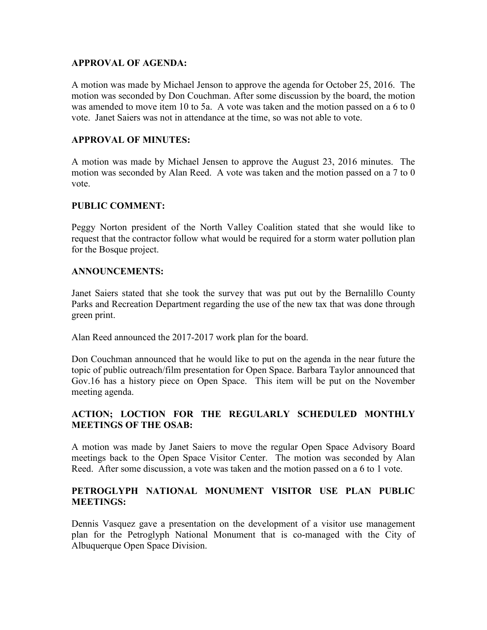# **APPROVAL OF AGENDA:**

A motion was made by Michael Jenson to approve the agenda for October 25, 2016. The motion was seconded by Don Couchman. After some discussion by the board, the motion was amended to move item 10 to 5a. A vote was taken and the motion passed on a 6 to 0 vote. Janet Saiers was not in attendance at the time, so was not able to vote.

# **APPROVAL OF MINUTES:**

A motion was made by Michael Jensen to approve the August 23, 2016 minutes. The motion was seconded by Alan Reed. A vote was taken and the motion passed on a 7 to 0 vote.

# **PUBLIC COMMENT:**

Peggy Norton president of the North Valley Coalition stated that she would like to request that the contractor follow what would be required for a storm water pollution plan for the Bosque project.

### **ANNOUNCEMENTS:**

Janet Saiers stated that she took the survey that was put out by the Bernalillo County Parks and Recreation Department regarding the use of the new tax that was done through green print.

Alan Reed announced the 2017-2017 work plan for the board.

Don Couchman announced that he would like to put on the agenda in the near future the topic of public outreach/film presentation for Open Space. Barbara Taylor announced that Gov.16 has a history piece on Open Space. This item will be put on the November meeting agenda.

# **ACTION; LOCTION FOR THE REGULARLY SCHEDULED MONTHLY MEETINGS OF THE OSAB:**

A motion was made by Janet Saiers to move the regular Open Space Advisory Board meetings back to the Open Space Visitor Center. The motion was seconded by Alan Reed. After some discussion, a vote was taken and the motion passed on a 6 to 1 vote.

# **PETROGLYPH NATIONAL MONUMENT VISITOR USE PLAN PUBLIC MEETINGS:**

Dennis Vasquez gave a presentation on the development of a visitor use management plan for the Petroglyph National Monument that is co-managed with the City of Albuquerque Open Space Division.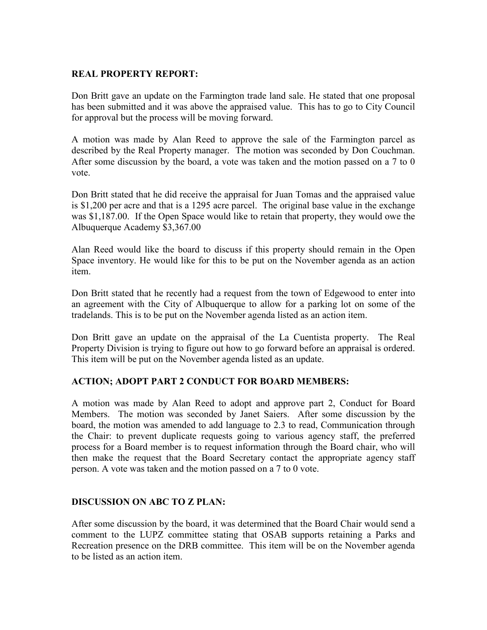# **REAL PROPERTY REPORT:**

Don Britt gave an update on the Farmington trade land sale. He stated that one proposal has been submitted and it was above the appraised value. This has to go to City Council for approval but the process will be moving forward.

A motion was made by Alan Reed to approve the sale of the Farmington parcel as described by the Real Property manager. The motion was seconded by Don Couchman. After some discussion by the board, a vote was taken and the motion passed on a 7 to 0 vote.

Don Britt stated that he did receive the appraisal for Juan Tomas and the appraised value is \$1,200 per acre and that is a 1295 acre parcel. The original base value in the exchange was \$1,187.00. If the Open Space would like to retain that property, they would owe the Albuquerque Academy \$3,367.00

Alan Reed would like the board to discuss if this property should remain in the Open Space inventory. He would like for this to be put on the November agenda as an action item.

Don Britt stated that he recently had a request from the town of Edgewood to enter into an agreement with the City of Albuquerque to allow for a parking lot on some of the tradelands. This is to be put on the November agenda listed as an action item.

Don Britt gave an update on the appraisal of the La Cuentista property. The Real Property Division is trying to figure out how to go forward before an appraisal is ordered. This item will be put on the November agenda listed as an update.

# **ACTION; ADOPT PART 2 CONDUCT FOR BOARD MEMBERS:**

A motion was made by Alan Reed to adopt and approve part 2, Conduct for Board Members. The motion was seconded by Janet Saiers. After some discussion by the board, the motion was amended to add language to 2.3 to read, Communication through the Chair: to prevent duplicate requests going to various agency staff, the preferred process for a Board member is to request information through the Board chair, who will then make the request that the Board Secretary contact the appropriate agency staff person. A vote was taken and the motion passed on a 7 to 0 vote.

### **DISCUSSION ON ABC TO Z PLAN:**

After some discussion by the board, it was determined that the Board Chair would send a comment to the LUPZ committee stating that OSAB supports retaining a Parks and Recreation presence on the DRB committee. This item will be on the November agenda to be listed as an action item.